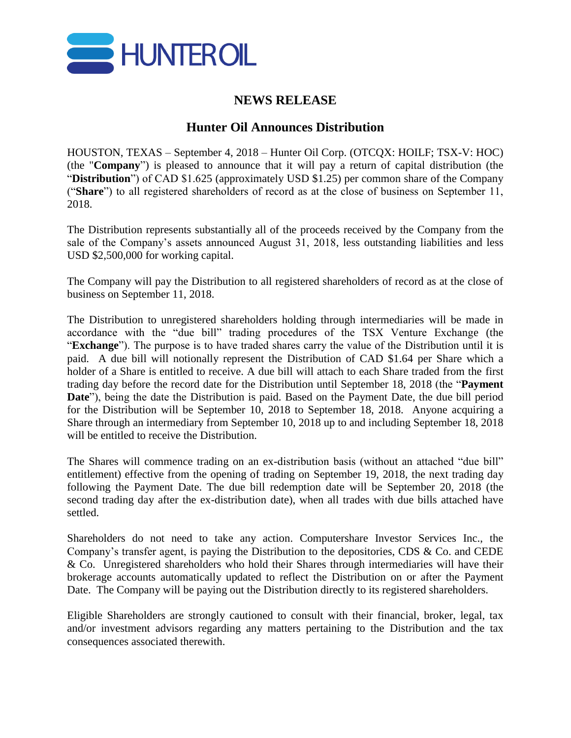

## **NEWS RELEASE**

## **Hunter Oil Announces Distribution**

HOUSTON, TEXAS – September 4, 2018 – Hunter Oil Corp. (OTCQX: HOILF; TSX-V: HOC) (the "**Company**") is pleased to announce that it will pay a return of capital distribution (the "**Distribution**") of CAD \$1.625 (approximately USD \$1.25) per common share of the Company ("**Share**") to all registered shareholders of record as at the close of business on September 11, 2018.

The Distribution represents substantially all of the proceeds received by the Company from the sale of the Company's assets announced August 31, 2018, less outstanding liabilities and less USD \$2,500,000 for working capital.

The Company will pay the Distribution to all registered shareholders of record as at the close of business on September 11, 2018.

The Distribution to unregistered shareholders holding through intermediaries will be made in accordance with the "due bill" trading procedures of the TSX Venture Exchange (the "**Exchange**"). The purpose is to have traded shares carry the value of the Distribution until it is paid. A due bill will notionally represent the Distribution of CAD \$1.64 per Share which a holder of a Share is entitled to receive. A due bill will attach to each Share traded from the first trading day before the record date for the Distribution until September 18, 2018 (the "**Payment Date**"), being the date the Distribution is paid. Based on the Payment Date, the due bill period for the Distribution will be September 10, 2018 to September 18, 2018. Anyone acquiring a Share through an intermediary from September 10, 2018 up to and including September 18, 2018 will be entitled to receive the Distribution.

The Shares will commence trading on an ex-distribution basis (without an attached "due bill" entitlement) effective from the opening of trading on September 19, 2018, the next trading day following the Payment Date. The due bill redemption date will be September 20, 2018 (the second trading day after the ex-distribution date), when all trades with due bills attached have settled.

Shareholders do not need to take any action. Computershare Investor Services Inc., the Company's transfer agent, is paying the Distribution to the depositories, CDS & Co. and CEDE & Co. Unregistered shareholders who hold their Shares through intermediaries will have their brokerage accounts automatically updated to reflect the Distribution on or after the Payment Date. The Company will be paying out the Distribution directly to its registered shareholders.

Eligible Shareholders are strongly cautioned to consult with their financial, broker, legal, tax and/or investment advisors regarding any matters pertaining to the Distribution and the tax consequences associated therewith.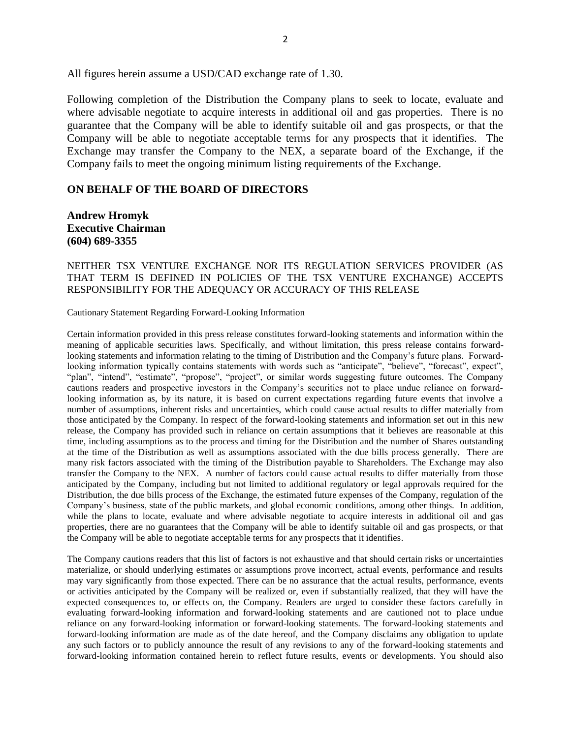All figures herein assume a USD/CAD exchange rate of 1.30.

Following completion of the Distribution the Company plans to seek to locate, evaluate and where advisable negotiate to acquire interests in additional oil and gas properties. There is no guarantee that the Company will be able to identify suitable oil and gas prospects, or that the Company will be able to negotiate acceptable terms for any prospects that it identifies. The Exchange may transfer the Company to the NEX, a separate board of the Exchange, if the Company fails to meet the ongoing minimum listing requirements of the Exchange.

## **ON BEHALF OF THE BOARD OF DIRECTORS**

**Andrew Hromyk Executive Chairman (604) 689-3355**

## NEITHER TSX VENTURE EXCHANGE NOR ITS REGULATION SERVICES PROVIDER (AS THAT TERM IS DEFINED IN POLICIES OF THE TSX VENTURE EXCHANGE) ACCEPTS RESPONSIBILITY FOR THE ADEQUACY OR ACCURACY OF THIS RELEASE

Cautionary Statement Regarding Forward-Looking Information

Certain information provided in this press release constitutes forward-looking statements and information within the meaning of applicable securities laws. Specifically, and without limitation, this press release contains forwardlooking statements and information relating to the timing of Distribution and the Company's future plans. Forwardlooking information typically contains statements with words such as "anticipate", "believe", "forecast", expect", "plan", "intend", "estimate", "propose", "project", or similar words suggesting future outcomes. The Company cautions readers and prospective investors in the Company's securities not to place undue reliance on forward‐ looking information as, by its nature, it is based on current expectations regarding future events that involve a number of assumptions, inherent risks and uncertainties, which could cause actual results to differ materially from those anticipated by the Company. In respect of the forward-looking statements and information set out in this new release, the Company has provided such in reliance on certain assumptions that it believes are reasonable at this time, including assumptions as to the process and timing for the Distribution and the number of Shares outstanding at the time of the Distribution as well as assumptions associated with the due bills process generally. There are many risk factors associated with the timing of the Distribution payable to Shareholders. The Exchange may also transfer the Company to the NEX. A number of factors could cause actual results to differ materially from those anticipated by the Company, including but not limited to additional regulatory or legal approvals required for the Distribution, the due bills process of the Exchange, the estimated future expenses of the Company, regulation of the Company's business, state of the public markets, and global economic conditions, among other things. In addition, while the plans to locate, evaluate and where advisable negotiate to acquire interests in additional oil and gas properties, there are no guarantees that the Company will be able to identify suitable oil and gas prospects, or that the Company will be able to negotiate acceptable terms for any prospects that it identifies.

The Company cautions readers that this list of factors is not exhaustive and that should certain risks or uncertainties materialize, or should underlying estimates or assumptions prove incorrect, actual events, performance and results may vary significantly from those expected. There can be no assurance that the actual results, performance, events or activities anticipated by the Company will be realized or, even if substantially realized, that they will have the expected consequences to, or effects on, the Company. Readers are urged to consider these factors carefully in evaluating forward-looking information and forward-looking statements and are cautioned not to place undue reliance on any forward-looking information or forward-looking statements. The forward-looking statements and forward-looking information are made as of the date hereof, and the Company disclaims any obligation to update any such factors or to publicly announce the result of any revisions to any of the forward-looking statements and forward-looking information contained herein to reflect future results, events or developments. You should also